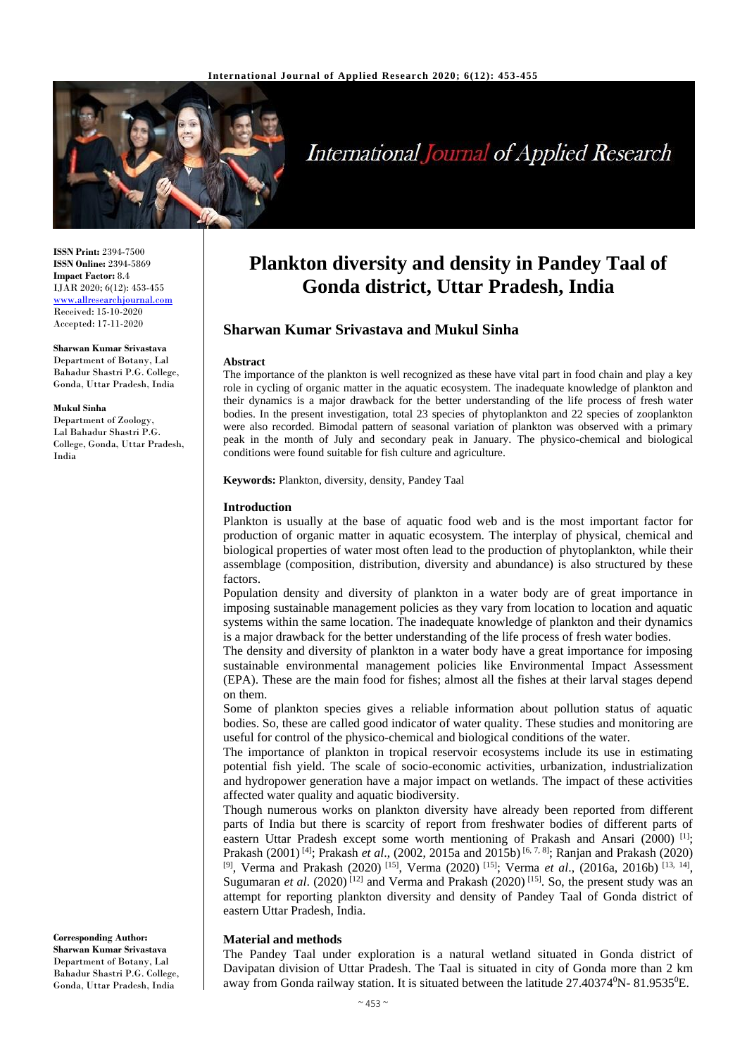

# **International Journal of Applied Research**

**ISSN Print:** 2394-7500 **ISSN Online:** 2394-5869 **Impact Factor:** 8.4 IJAR 2020; 6(12): 453-455 <www.allresearchjournal.com> Received: 15-10-2020 Accepted: 17-11-2020

**Sharwan Kumar Srivastava** Department of Botany, Lal Bahadur Shastri P.G. College, Gonda, Uttar Pradesh, India

#### **Mukul Sinha**

Department of Zoology, Lal Bahadur Shastri P.G. College, Gonda, Uttar Pradesh, India

#### **Corresponding Author: Sharwan Kumar Srivastava** Department of Botany, Lal Bahadur Shastri P.G. College, Gonda, Uttar Pradesh, India

# **Plankton diversity and density in Pandey Taal of Gonda district, Uttar Pradesh, India**

# **Sharwan Kumar Srivastava and Mukul Sinha**

#### **Abstract**

The importance of the plankton is well recognized as these have vital part in food chain and play a key role in cycling of organic matter in the aquatic ecosystem. The inadequate knowledge of plankton and their dynamics is a major drawback for the better understanding of the life process of fresh water bodies. In the present investigation, total 23 species of phytoplankton and 22 species of zooplankton were also recorded. Bimodal pattern of seasonal variation of plankton was observed with a primary peak in the month of July and secondary peak in January. The physico-chemical and biological conditions were found suitable for fish culture and agriculture.

**Keywords:** Plankton, diversity, density, Pandey Taal

#### **Introduction**

Plankton is usually at the base of aquatic food web and is the most important factor for production of organic matter in aquatic ecosystem. The interplay of physical, chemical and biological properties of water most often lead to the production of phytoplankton, while their assemblage (composition, distribution, diversity and abundance) is also structured by these factors.

Population density and diversity of plankton in a water body are of great importance in imposing sustainable management policies as they vary from location to location and aquatic systems within the same location. The inadequate knowledge of plankton and their dynamics is a major drawback for the better understanding of the life process of fresh water bodies.

The density and diversity of plankton in a water body have a great importance for imposing sustainable environmental management policies like Environmental Impact Assessment (EPA). These are the main food for fishes; almost all the fishes at their larval stages depend on them.

Some of plankton species gives a reliable information about pollution status of aquatic bodies. So, these are called good indicator of water quality. These studies and monitoring are useful for control of the physico-chemical and biological conditions of the water.

The importance of plankton in tropical reservoir ecosystems include its use in estimating potential fish yield. The scale of socio-economic activities, urbanization, industrialization and hydropower generation have a major impact on wetlands. The impact of these activities affected water quality and aquatic biodiversity.

Though numerous works on plankton diversity have already been reported from different parts of India but there is scarcity of report from freshwater bodies of different parts of eastern Uttar Pradesh except some worth mentioning of Prakash and Ansari (2000)  $^{[1]}$ ; Prakash (2001)<sup>[4]</sup>; Prakash *et al.*, (2002, 2015a and 2015b)<sup>[6, 7, 8]</sup>; Ranjan and Prakash (2020) <sup>[9]</sup>, Verma and Prakash (2020)<sup>[15]</sup>, Verma (2020)<sup>[15]</sup>; Verma *et al.*, (2016a, 2016b)<sup>[13, 14]</sup>, Sugumaran *et al.* (2020)<sup>[12]</sup> and Verma and Prakash (2020)<sup>[15]</sup>. So, the present study was an attempt for reporting plankton diversity and density of Pandey Taal of Gonda district of eastern Uttar Pradesh, India.

## **Material and methods**

The Pandey Taal under exploration is a natural wetland situated in Gonda district of Davipatan division of Uttar Pradesh. The Taal is situated in city of Gonda more than 2 km away from Gonda railway station. It is situated between the latitude 27.40374<sup>0</sup>N- 81.9535<sup>0</sup>E.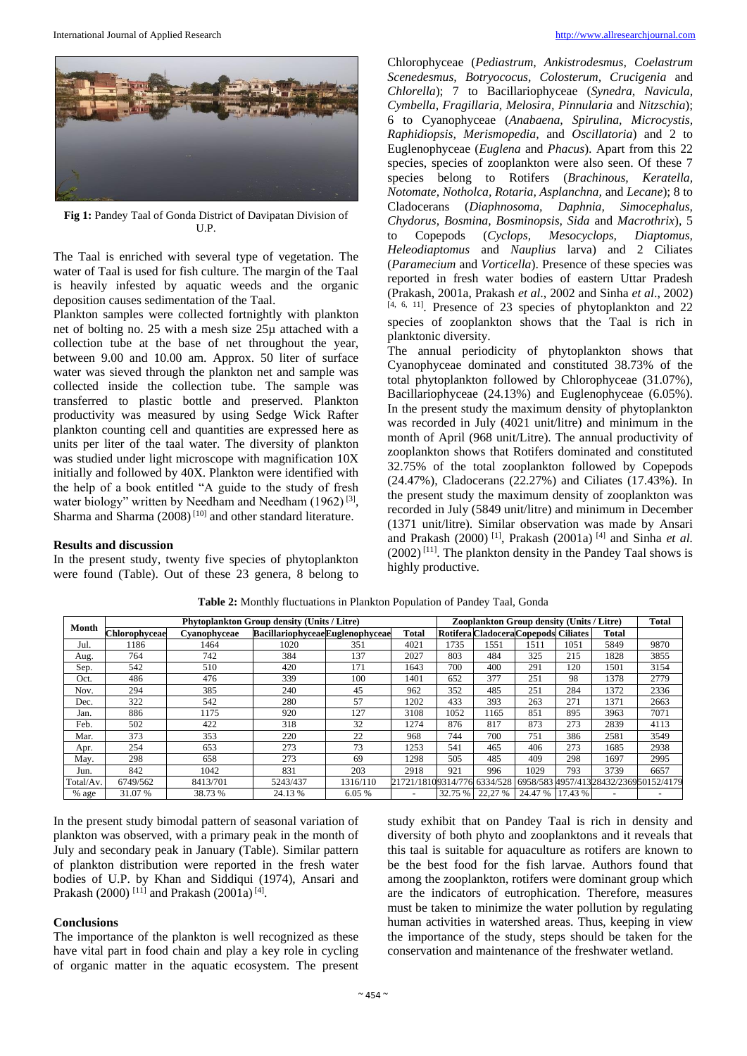

**Fig 1:** Pandey Taal of Gonda District of Davipatan Division of U.P.

The Taal is enriched with several type of vegetation. The water of Taal is used for fish culture. The margin of the Taal is heavily infested by aquatic weeds and the organic deposition causes sedimentation of the Taal.

Plankton samples were collected fortnightly with plankton net of bolting no. 25 with a mesh size 25µ attached with a collection tube at the base of net throughout the year, between 9.00 and 10.00 am. Approx. 50 liter of surface water was sieved through the plankton net and sample was collected inside the collection tube. The sample was transferred to plastic bottle and preserved. Plankton productivity was measured by using Sedge Wick Rafter plankton counting cell and quantities are expressed here as units per liter of the taal water. The diversity of plankton was studied under light microscope with magnification 10X initially and followed by 40X. Plankton were identified with the help of a book entitled "A guide to the study of fresh water biology" written by Needham and Needham  $(1962)^{[3]}$ , Sharma and Sharma  $(2008)^{[10]}$  and other standard literature.

#### **Results and discussion**

In the present study, twenty five species of phytoplankton were found (Table). Out of these 23 genera, 8 belong to Chlorophyceae (*Pediastrum, Ankistrodesmus, Coelastrum Scenedesmus, Botryococus, Colosterum, Crucigenia* and *Chlorella*); 7 to Bacillariophyceae (*Synedra, Navicula, Cymbella, Fragillaria, Melosira, Pinnularia* and *Nitzschia*); 6 to Cyanophyceae (*Anabaena, Spirulina, Microcystis, Raphidiopsis, Merismopedia,* and *Oscillatoria*) and 2 to Euglenophyceae (*Euglena* and *Phacus*). Apart from this 22 species, species of zooplankton were also seen. Of these 7 species belong to Rotifers (*Brachinous, Keratella, Notomate, Notholca, Rotaria, Asplanchna,* and *Lecane*); 8 to Cladocerans (*Diaphnosoma, Daphnia, Simocephalus, Chydorus, Bosmina, Bosminopsis, Sida* and *Macrothrix*), 5 to Copepods (*Cyclops, Mesocyclops, Diaptomus, Heleodiaptomus* and *Nauplius* larva) and 2 Ciliates (*Paramecium* and *Vorticella*). Presence of these species was reported in fresh water bodies of eastern Uttar Pradesh (Prakash, 2001a, Prakash *et al*., 2002 and Sinha *et al*., 2002) [4, 6, 11] . Presence of 23 species of phytoplankton and 22 species of zooplankton shows that the Taal is rich in planktonic diversity.

The annual periodicity of phytoplankton shows that Cyanophyceae dominated and constituted 38.73% of the total phytoplankton followed by Chlorophyceae (31.07%), Bacillariophyceae (24.13%) and Euglenophyceae (6.05%). In the present study the maximum density of phytoplankton was recorded in July (4021 unit/litre) and minimum in the month of April (968 unit/Litre). The annual productivity of zooplankton shows that Rotifers dominated and constituted 32.75% of the total zooplankton followed by Copepods (24.47%), Cladocerans (22.27%) and Ciliates (17.43%). In the present study the maximum density of zooplankton was recorded in July (5849 unit/litre) and minimum in December (1371 unit/litre). Similar observation was made by Ansari and Prakash (2000) [1], Prakash (2001a) [4] and Sinha *et al.*  $(2002)$ <sup>[11]</sup>. The plankton density in the Pandey Taal shows is highly productive.

| Month     | <b>Phytoplankton Group density (Units / Litre)</b> |              |                                 |          |                             | Zooplankton Group density (Units / Litre) |                                      |                 |      |                                       | <b>Total</b> |
|-----------|----------------------------------------------------|--------------|---------------------------------|----------|-----------------------------|-------------------------------------------|--------------------------------------|-----------------|------|---------------------------------------|--------------|
|           | Chlorophyceae                                      | Cyanophyceae | BacillariophyceaeEuglenophyceae |          | <b>Total</b>                |                                           | Rotifera Cladocera Copepods Ciliates |                 |      | <b>Total</b>                          |              |
| Jul.      | 1186                                               | 1464         | 1020                            | 351      | 4021                        | 1735                                      | 1551                                 | 1511            | 1051 | 5849                                  | 9870         |
| Aug.      | 764                                                | 742          | 384                             | 137      | 2027                        | 803                                       | 484                                  | 325             | 215  | 1828                                  | 3855         |
| Sep.      | 542                                                | 510          | 420                             | 171      | 1643                        | 700                                       | 400                                  | 291             | 120  | 1501                                  | 3154         |
| Oct.      | 486                                                | 476          | 339                             | 100      | 1401                        | 652                                       | 377                                  | 251             | 98   | 1378                                  | 2779         |
| Nov.      | 294                                                | 385          | 240                             | 45       | 962                         | 352                                       | 485                                  | 251             | 284  | 1372                                  | 2336         |
| Dec.      | 322                                                | 542          | 280                             | 57       | 1202                        | 433                                       | 393                                  | 263             | 271  | 1371                                  | 2663         |
| Jan.      | 886                                                | 1175         | 920                             | 127      | 3108                        | 1052                                      | 1165                                 | 851             | 895  | 3963                                  | 7071         |
| Feb.      | 502                                                | 422          | 318                             | 32       | 1274                        | 876                                       | 817                                  | 873             | 273  | 2839                                  | 4113         |
| Mar.      | 373                                                | 353          | 220                             | 22       | 968                         | 744                                       | 700                                  | 751             | 386  | 2581                                  | 3549         |
| Apr.      | 254                                                | 653          | 273                             | 73       | 1253                        | 541                                       | 465                                  | 406             | 273  | 1685                                  | 2938         |
| May.      | 298                                                | 658          | 273                             | 69       | 1298                        | 505                                       | 485                                  | 409             | 298  | 1697                                  | 2995         |
| Jun.      | 842                                                | 1042         | 831                             | 203      | 2918                        | 921                                       | 996                                  | 1029            | 793  | 3739                                  | 6657         |
| Total/Av. | 6749/562                                           | 8413/701     | 5243/437                        | 1316/110 | 21721/18109314/776 6334/528 |                                           |                                      |                 |      | 6958/583 4957/41328432/236950152/4179 |              |
| % age     | 31.07 %                                            | 38.73 %      | 24.13 %                         | 6.05 %   |                             |                                           | 32.75 % 22,27 %                      | 24.47 % 17.43 % |      |                                       |              |

**Table 2:** Monthly fluctuations in Plankton Population of Pandey Taal, Gonda

In the present study bimodal pattern of seasonal variation of plankton was observed, with a primary peak in the month of July and secondary peak in January (Table). Similar pattern of plankton distribution were reported in the fresh water bodies of U.P. by Khan and Siddiqui (1974), Ansari and Prakash (2000)<sup>[11]</sup> and Prakash (2001a)<sup>[4]</sup>.

## **Conclusions**

The importance of the plankton is well recognized as these have vital part in food chain and play a key role in cycling of organic matter in the aquatic ecosystem. The present study exhibit that on Pandey Taal is rich in density and diversity of both phyto and zooplanktons and it reveals that this taal is suitable for aquaculture as rotifers are known to be the best food for the fish larvae. Authors found that among the zooplankton, rotifers were dominant group which are the indicators of eutrophication. Therefore, measures must be taken to minimize the water pollution by regulating human activities in watershed areas. Thus, keeping in view the importance of the study, steps should be taken for the conservation and maintenance of the freshwater wetland.